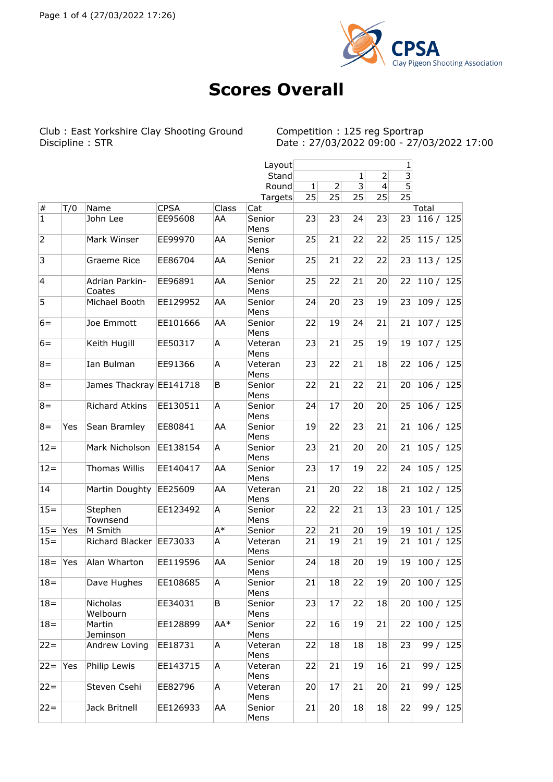

## **Scores Overall**

Club : East Yorkshire Clay Shooting Ground<br>Discipline : STR

Competition : 125 reg Sportrap<br>Date : 27/03/2022 09:00 - 27/03/2022 17:00

|                |     |                         |             |       | Layout          |              |                |                         |                | $\frac{1}{3}$   |              |          |
|----------------|-----|-------------------------|-------------|-------|-----------------|--------------|----------------|-------------------------|----------------|-----------------|--------------|----------|
|                |     |                         |             |       | Stand           |              |                | $\mathbf{1}$            | $\overline{2}$ |                 |              |          |
|                |     |                         |             |       | Round           | $\mathbf{1}$ | $\overline{2}$ | $\overline{\mathbf{3}}$ | 4              | $\overline{5}$  |              |          |
|                |     |                         |             |       | Targets         | 25           | 25             | 25                      | 25             | $\overline{25}$ |              |          |
| $\#$           | T/0 | Name                    | <b>CPSA</b> | Class | Cat             |              |                |                         |                |                 | Total        |          |
| $\overline{1}$ |     | John Lee                | EE95608     | AA    | Senior<br>Mens  | 23           | 23             | 24                      | 23             | 23              | 116 / 125    |          |
| $\overline{2}$ |     | Mark Winser             | EE99970     | AA    | Senior          | 25           | 21             | 22                      | 22             | 25              | 115 / 125    |          |
| $\overline{3}$ |     | Graeme Rice             | EE86704     | AA    | Mens<br>Senior  | 25           | 21             | 22                      | 22             | 23              | 113 / 125    |          |
| $\overline{4}$ |     | Adrian Parkin-          | EE96891     | AA    | Mens<br>Senior  | 25           | 22             | 21                      | 20             | 22              | 110 / 125    |          |
| 5              |     | Coates<br>Michael Booth | EE129952    | AA    | Mens<br>Senior  | 24           | 20             | 23                      | 19             | 23              | 109 / 125    |          |
|                |     |                         |             |       | Mens            |              |                |                         |                |                 |              |          |
| $6=$           |     | Joe Emmott              | EE101666    | AA    | Senior<br>Mens  | 22           | 19             | 24                      | 21             | 21              | 107 / 125    |          |
| $6=$           |     | Keith Hugill            | EE50317     | A     | Veteran<br>Mens | 23           | 21             | 25                      | 19             | 19              | 107 / 125    |          |
| $8 =$          |     | Ian Bulman              | EE91366     | A     | Veteran<br>Mens | 23           | 22             | 21                      | 18             | 22              | 106 / 125    |          |
| $8 =$          |     | James Thackray EE141718 |             | B     | Senior<br>Mens  | 22           | 21             | 22                      | 21             | 20              | 106 / 125    |          |
| $8 =$          |     | <b>Richard Atkins</b>   | EE130511    | A     | Senior<br>Mens  | 24           | 17             | 20                      | 20             | 25              | 106 / 125    |          |
| $8 =$          | Yes | Sean Bramley            | EE80841     | AA    | Senior<br>Mens  | 19           | 22             | 23                      | 21             | 21              | 106 / 125    |          |
| $12 =$         |     | Mark Nicholson          | EE138154    | A     | Senior<br>Mens  | 23           | 21             | 20                      | 20             | 21              | 105 / 125    |          |
| $12 =$         |     | <b>Thomas Willis</b>    | EE140417    | AA    | Senior<br>Mens  | 23           | 17             | 19                      | 22             | 24              | 105 / 125    |          |
| 14             |     | Martin Doughty          | EE25609     | AA    | Veteran<br>Mens | 21           | 20             | 22                      | 18             | 21              | 102 / 125    |          |
| $15 =$         |     | Stephen<br>Townsend     | EE123492    | Α     | Senior<br>Mens  | 22           | 22             | 21                      | 13             | 23              | 101 / 125    |          |
| $15 =$         | Yes | M Smith                 |             | A*    | Senior          | 22           | 21             | 20                      | 19             | 19              | 101/         | 125      |
| $15 =$         |     | Richard Blacker         | EE73033     | A     | Veteran<br>Mens | 21           | 19             | 21                      | 19             | 21              | 101 / 125    |          |
| $18 =$         | Yes | Alan Wharton            | EE119596    | AA    | Senior<br>Mens  | 24           | 18             | 20                      | 19             | 19              | 100 / 125    |          |
| $18 =$         |     | Dave Hughes             | EE108685    | A     | Senior<br>Mens  | 21           | 18             | 22                      | 19             |                 | 20 100 / 125 |          |
| $18 =$         |     | Nicholas<br>Welbourn    | EE34031     | B     | Senior<br>Mens  | 23           | 17             | 22                      | 18             | 20 <sub>1</sub> | 100 / 125    |          |
| $18 =$         |     | Martin<br>Jeminson      | EE128899    | AA*   | Senior<br>Mens  | 22           | 16             | 19                      | 21             | 22              | 100 / 125    |          |
| $22 =$         |     | Andrew Loving           | EE18731     | A     | Veteran<br>Mens | 22           | 18             | 18                      | 18             | 23              |              | 99 / 125 |
| $22 =$         | Yes | Philip Lewis            | EE143715    | A     | Veteran<br>Mens | 22           | 21             | 19                      | 16             | 21              |              | 99 / 125 |
| $22 =$         |     | Steven Csehi            | EE82796     | A     | Veteran<br>Mens | 20           | 17             | 21                      | 20             | 21              |              | 99 / 125 |
| $22 =$         |     | Jack Britnell           | EE126933    | AA    | Senior<br>Mens  | 21           | 20             | 18                      | 18             | 22              |              | 99 / 125 |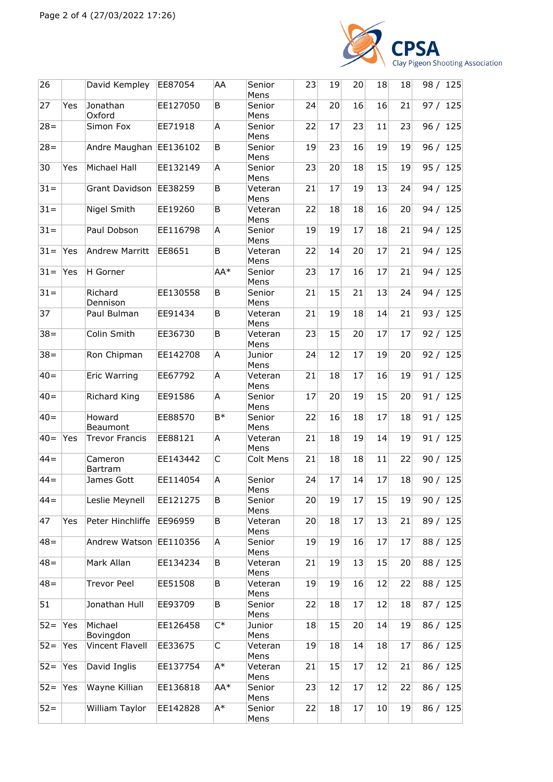

| 26     |     | David Kempley         | EE87054  | AA    | Senior<br>Mens  | 23 | 19 | 20 | 18 | 18 | 98 / 125 |
|--------|-----|-----------------------|----------|-------|-----------------|----|----|----|----|----|----------|
| 27     | Yes | Jonathan<br>Oxford    | EE127050 | B     | Senior<br>Mens  | 24 | 20 | 16 | 16 | 21 | 97 / 125 |
| $28 =$ |     | Simon Fox             | EE71918  | Α     | Senior<br>Mens  | 22 | 17 | 23 | 11 | 23 | 96 / 125 |
| $28 =$ |     | Andre Maughan         | EE136102 | B     | Senior<br>Mens  | 19 | 23 | 16 | 19 | 19 | 96 / 125 |
| 30     | Yes | Michael Hall          | EE132149 | Α     | Senior<br>Mens  | 23 | 20 | 18 | 15 | 19 | 95 / 125 |
| $31 =$ |     | Grant Davidson        | EE38259  | B     | Veteran<br>Mens | 21 | 17 | 19 | 13 | 24 | 94 / 125 |
| $31 =$ |     | Nigel Smith           | EE19260  | В     | Veteran<br>Mens | 22 | 18 | 18 | 16 | 20 | 94 / 125 |
| $31 =$ |     | Paul Dobson           | EE116798 | Α     | Senior<br>Mens  | 19 | 19 | 17 | 18 | 21 | 94 / 125 |
| $31 =$ | Yes | <b>Andrew Marritt</b> | EE8651   | B     | Veteran<br>Mens | 22 | 14 | 20 | 17 | 21 | 94 / 125 |
| $31 =$ | Yes | H Gorner              |          | AA*   | Senior<br>Mens  | 23 | 17 | 16 | 17 | 21 | 94 / 125 |
| $31 =$ |     | Richard<br>Dennison   | EE130558 | B     | Senior<br>Mens  | 21 | 15 | 21 | 13 | 24 | 94 / 125 |
| 37     |     | Paul Bulman           | EE91434  | B     | Veteran<br>Mens | 21 | 19 | 18 | 14 | 21 | 93 / 125 |
| $38 =$ |     | Colin Smith           | EE36730  | B     | Veteran<br>Mens | 23 | 15 | 20 | 17 | 17 | 92 / 125 |
| $38 =$ |     | Ron Chipman           | EE142708 | A     | Junior<br>Mens  | 24 | 12 | 17 | 19 | 20 | 92 / 125 |
| $40 =$ |     | Eric Warring          | EE67792  | A     | Veteran<br>Mens | 21 | 18 | 17 | 16 | 19 | 91 / 125 |
| $40 =$ |     | Richard King          | EE91586  | A     | Senior<br>Mens  | 17 | 20 | 19 | 15 | 20 | 91 / 125 |
| $40 =$ |     | Howard<br>Beaumont    | EE88570  | $B*$  | Senior<br>Mens  | 22 | 16 | 18 | 17 | 18 | 91 / 125 |
| $40=$  | Yes | <b>Trevor Francis</b> | EE88121  | A     | Veteran<br>Mens | 21 | 18 | 19 | 14 | 19 | 91 / 125 |
| $44 =$ |     | Cameron<br>Bartram    | EE143442 | C     | Colt Mens       | 21 | 18 | 18 | 11 | 22 | 90 / 125 |
| $44 =$ |     | James Gott            | EE114054 | A     | Senior<br>Mens  | 24 | 17 | 14 | 17 | 18 | 90 / 125 |
| $44 =$ |     | Leslie Meynell        | EE121275 | В     | Senior<br>Mens  | 20 | 19 | 17 | 15 | 19 | 90 / 125 |
| 47     | Yes | Peter Hinchliffe      | EE96959  | В     | Veteran<br>Mens | 20 | 18 | 17 | 13 | 21 | 89 / 125 |
| $48 =$ |     | Andrew Watson         | EE110356 | Α     | Senior<br>Mens  | 19 | 19 | 16 | 17 | 17 | 88 / 125 |
| $48 =$ |     | Mark Allan            | EE134234 | В     | Veteran<br>Mens | 21 | 19 | 13 | 15 | 20 | 88 / 125 |
| $48 =$ |     | <b>Trevor Peel</b>    | EE51508  | В     | Veteran<br>Mens | 19 | 19 | 16 | 12 | 22 | 88 / 125 |
| 51     |     | Jonathan Hull         | EE93709  | В     | Senior<br>Mens  | 22 | 18 | 17 | 12 | 18 | 87 / 125 |
| $52 =$ | Yes | Michael<br>Bovingdon  | EE126458 | $C^*$ | Junior<br>Mens  | 18 | 15 | 20 | 14 | 19 | 86 / 125 |
| $52 =$ | Yes | Vincent Flavell       | EE33675  | C     | Veteran<br>Mens | 19 | 18 | 14 | 18 | 17 | 86 / 125 |
| $52 =$ | Yes | David Inglis          | EE137754 | A*    | Veteran<br>Mens | 21 | 15 | 17 | 12 | 21 | 86 / 125 |
| $52 =$ | Yes | Wayne Killian         | EE136818 | AA*   | Senior<br>Mens  | 23 | 12 | 17 | 12 | 22 | 86 / 125 |
| $52 =$ |     | William Taylor        | EE142828 | A*    | Senior<br>Mens  | 22 | 18 | 17 | 10 | 19 | 86 / 125 |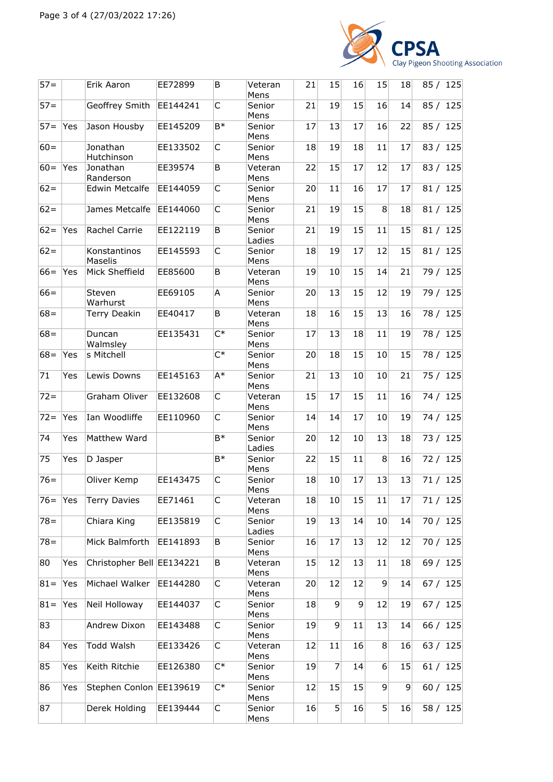

| $57 =$ |     | Erik Aaron                | EE72899  | B                | Veteran<br>Mens  | 21 | 15             | 16           | 15           | 18 | 85 / 125 |
|--------|-----|---------------------------|----------|------------------|------------------|----|----------------|--------------|--------------|----|----------|
| $57 =$ |     | Geoffrey Smith            | EE144241 | C                | Senior<br>Mens   | 21 | 19             | 15           | 16           | 14 | 85 / 125 |
| $57 =$ | Yes | Jason Housby              | EE145209 | $B*$             | Senior<br>Mens   | 17 | 13             | 17           | 16           | 22 | 85 / 125 |
| $60 =$ |     | Jonathan<br>Hutchinson    | EE133502 | C                | Senior<br>Mens   | 18 | 19             | 18           | 11           | 17 | 83 / 125 |
| $60 =$ | Yes | Jonathan<br>Randerson     | EE39574  | B                | Veteran<br>Mens  | 22 | 15             | 17           | 12           | 17 | 83 / 125 |
| $62 =$ |     | <b>Edwin Metcalfe</b>     | EE144059 | C                | Senior<br>Mens   | 20 | 11             | 16           | 17           | 17 | 81 / 125 |
| $62 =$ |     | James Metcalfe            | EE144060 | C                | Senior<br>Mens   | 21 | 19             | 15           | 8            | 18 | 81 / 125 |
| $62 =$ | Yes | Rachel Carrie             | EE122119 | B                | Senior<br>Ladies | 21 | 19             | 15           | 11           | 15 | 81 / 125 |
| $62 =$ |     | Konstantinos<br>Maselis   | EE145593 | C                | Senior<br>Mens   | 18 | 19             | 17           | 12           | 15 | 81 / 125 |
| $66=$  | Yes | Mick Sheffield            | EE85600  | B                | Veteran<br>Mens  | 19 | 10             | 15           | 14           | 21 | 79 / 125 |
| $66=$  |     | Steven<br>Warhurst        | EE69105  | A                | Senior<br>Mens   | 20 | 13             | 15           | 12           | 19 | 79 / 125 |
| $68 =$ |     | Terry Deakin              | EE40417  | B                | Veteran<br>Mens  | 18 | 16             | 15           | 13           | 16 | 78 / 125 |
| $68 =$ |     | Duncan<br>Walmsley        | EE135431 | $C^*$            | Senior<br>Mens   | 17 | 13             | 18           | 11           | 19 | 78 / 125 |
| $68 =$ | Yes | s Mitchell                |          | $\overline{C^*}$ | Senior<br>Mens   | 20 | 18             | 15           | 10           | 15 | 78 / 125 |
| 71     | Yes | Lewis Downs               | EE145163 | $A^*$            | Senior<br>Mens   | 21 | 13             | 10           | 10           | 21 | 75 / 125 |
| $72 =$ |     | Graham Oliver             | EE132608 | C                | Veteran<br>Mens  | 15 | 17             | 15           | 11           | 16 | 74 / 125 |
| $72 =$ | Yes | Ian Woodliffe             | EE110960 | $\mathsf{C}$     | Senior<br>Mens   | 14 | 14             | 17           | 10           | 19 | 74 / 125 |
| 74     | Yes | Matthew Ward              |          | $B*$             | Senior<br>Ladies | 20 | 12             | 10           | 13           | 18 | 73 / 125 |
| 75     | Yes | D Jasper                  |          | $B*$             | Senior<br>Mens   | 22 | 15             | 11           | 8            | 16 | 72 / 125 |
| $76 =$ |     | Oliver Kemp               | EE143475 | C                | Senior<br>Mens   | 18 | 10             | 17           | 13           | 13 | 71 / 125 |
| $76=$  | Yes | <b>Terry Davies</b>       | EE71461  | C                | Veteran<br>Mens  | 18 | 10             | 15           | 11           | 17 | 71 / 125 |
| $78 =$ |     | Chiara King               | EE135819 | C                | Senior<br>Ladies | 19 | 13             | 14           | 10           | 14 | 70 / 125 |
| $78 =$ |     | Mick Balmforth            | EE141893 | B                | Senior<br>Mens   | 16 | 17             | 13           | 12           | 12 | 70 / 125 |
| 80     | Yes | Christopher Bell EE134221 |          | B                | Veteran<br>Mens  | 15 | 12             | 13           | 11           | 18 | 69 / 125 |
| $81 =$ | Yes | Michael Walker            | EE144280 | C                | Veteran<br>Mens  | 20 | 12             | 12           | 9            | 14 | 67/125   |
| $81 =$ | Yes | Neil Holloway             | EE144037 | С                | Senior<br>Mens   | 18 | 9              | $\mathsf{g}$ | 12           | 19 | 67 / 125 |
| 83     |     | Andrew Dixon              | EE143488 | С                | Senior<br>Mens   | 19 | 9              | 11           | 13           | 14 | 66 / 125 |
| 84     | Yes | Todd Walsh                | EE133426 | C                | Veteran<br>Mens  | 12 | 11             | 16           | 8            | 16 | 63 / 125 |
| 85     | Yes | Keith Ritchie             | EE126380 | $\mathsf{C}^*$   | Senior<br>Mens   | 19 | $\overline{7}$ | 14           | 6            | 15 | 61 / 125 |
| 86     | Yes | Stephen Conlon EE139619   |          | $C^*$            | Senior<br>Mens   | 12 | 15             | 15           | 9            | 9  | 60 / 125 |
| 87     |     | Derek Holding             | EE139444 | C                | Senior<br>Mens   | 16 | 5              | 16           | $\mathbf{5}$ | 16 | 58 / 125 |